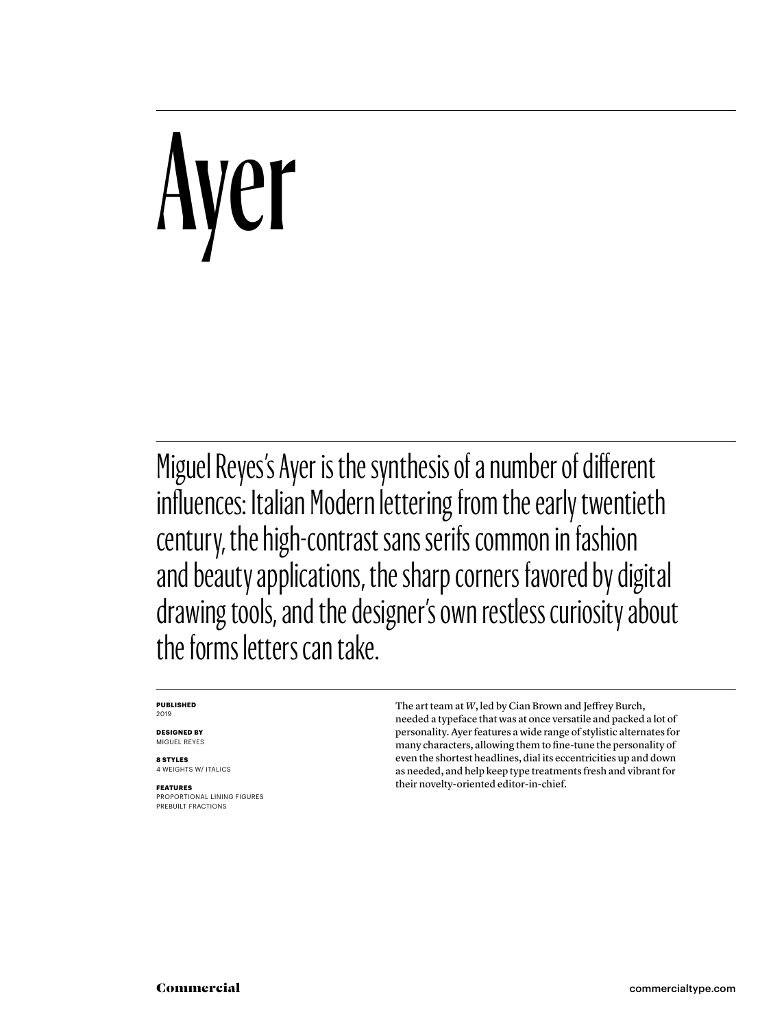# Ayer

Miguel Reyes's Ayer is the synthesis of a number of different influences: Italian Modern lettering from the early twentieth century, the high-contrast sans serifs common in fashion and beauty applications, the sharp corners favored by digital drawing tools, and the designer's own restless curiosity about the forms letters can take.

## **PUBLISHED** 2019

**DESIGNED BY** MIGUEL REYES

**8 STYLES** 4 WEIGHTS W/ ITALICS

**FEATURES** PROPORTIONAL LINING FIGURES PREBUILT FRACTIONS

The art team at *W*, led by Cian Brown and Jeffrey Burch, needed a typeface that was at once versatile and packed a lot of personality. Ayer features a wide range of stylistic alternates for many characters, allowing them to fine-tune the personality of even the shortest headlines, dial its eccentricities up and down as needed, and help keep type treatments fresh and vibrant for their novelty-oriented editor-in-chief.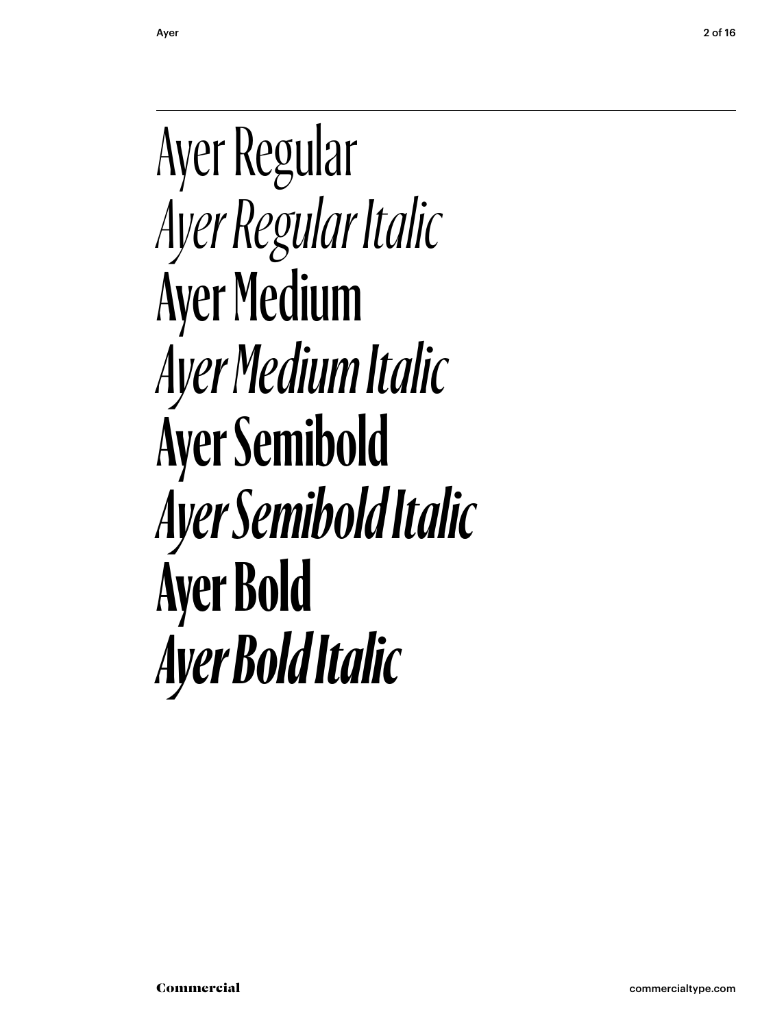Ayer Regular *Ayer Regular Italic* Ayer Medium *Ayer Medium Italic* **Ayer Semibold** *Ayer Semibold Italic* **Ayer Bold** *Ayer Bold Italic*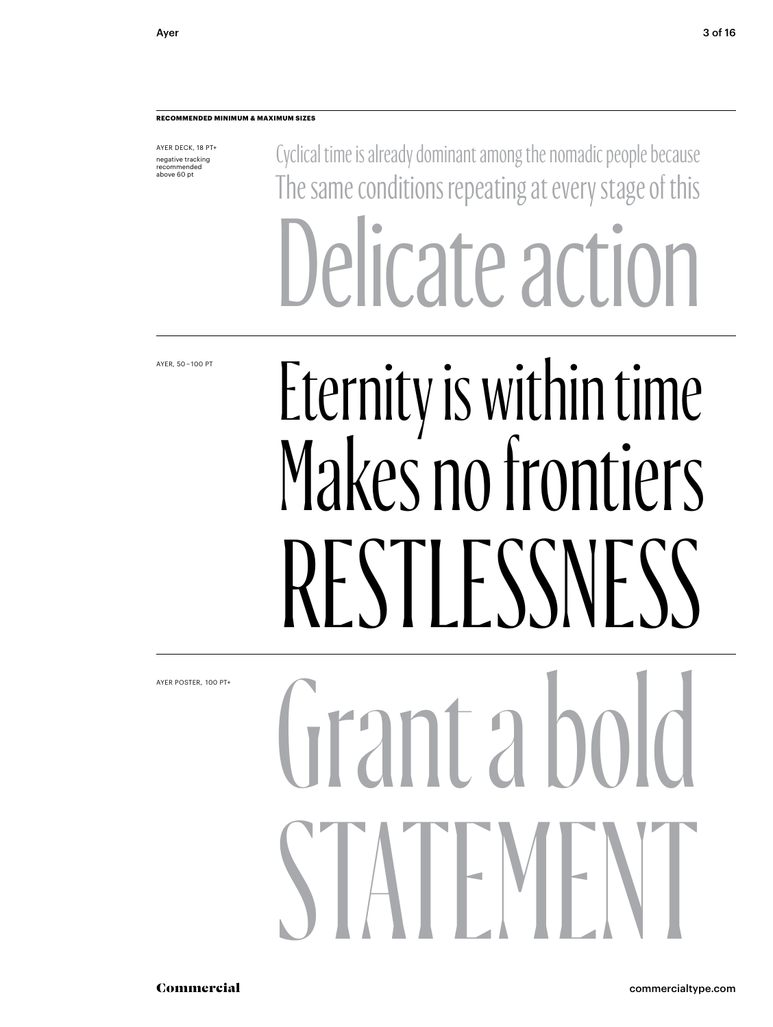## **RECOMMENDED MINIMUM & MAXIMUM SIZES**

AYER DECK, 18 PT+ negative tracking recommended above 60 pt

Cyclical time is already dominant among the nomadic people because The same conditions repeating at every stage of this Delicate action

AYER, 50 – 100 PT

## Eternity is within time Makes no frontiers RESTLESSNESS

AYER POSTER,  100 PT+

# $($ irant a bol  $\blacksquare$  ML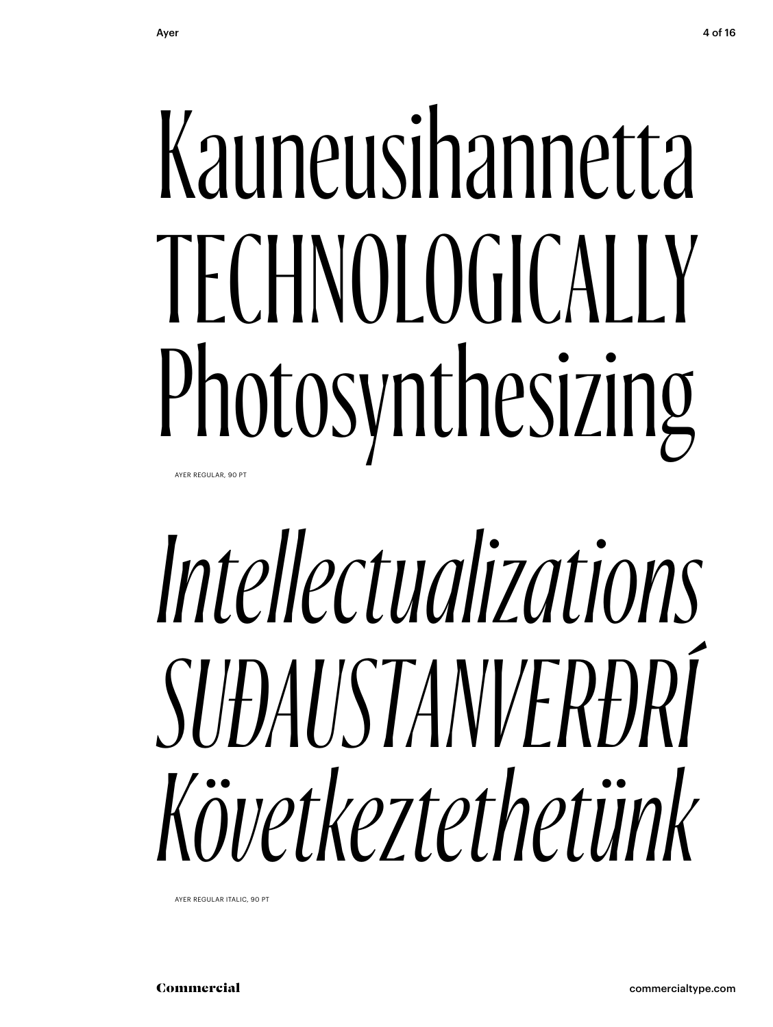## Kauneusihannetta TECHNOLOGICALLY Photosynthesizing AYER REGULAR, 90 PT

# Intellectualizations SUÐAUSTANVERÐRÍ Következtethetünk

AYER REGULAR ITALIC, 90 PT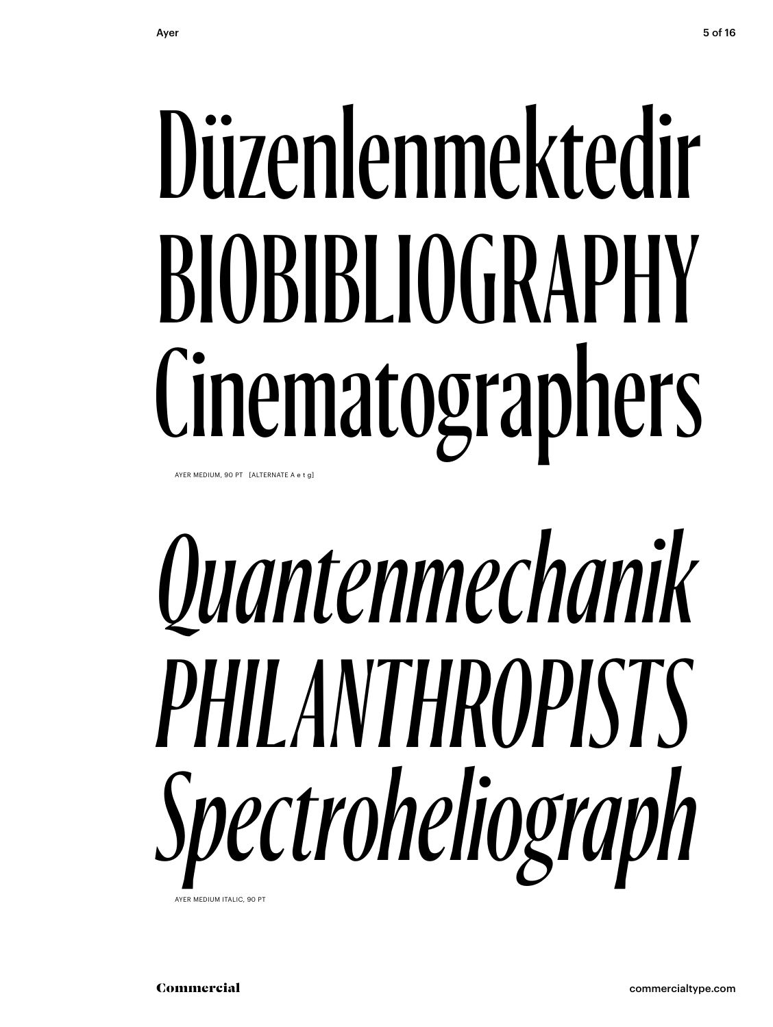# Düzenlenmektedir BIOBIBLIOGRAPHY Cinematographers

AYER MEDIUM, 90 PT [ALTERNATE A e t g]

# *Quantenmechanik PHILANTHROPISTS Spectroheliograph*

AYER MEDIUM ITALIC, 90 PT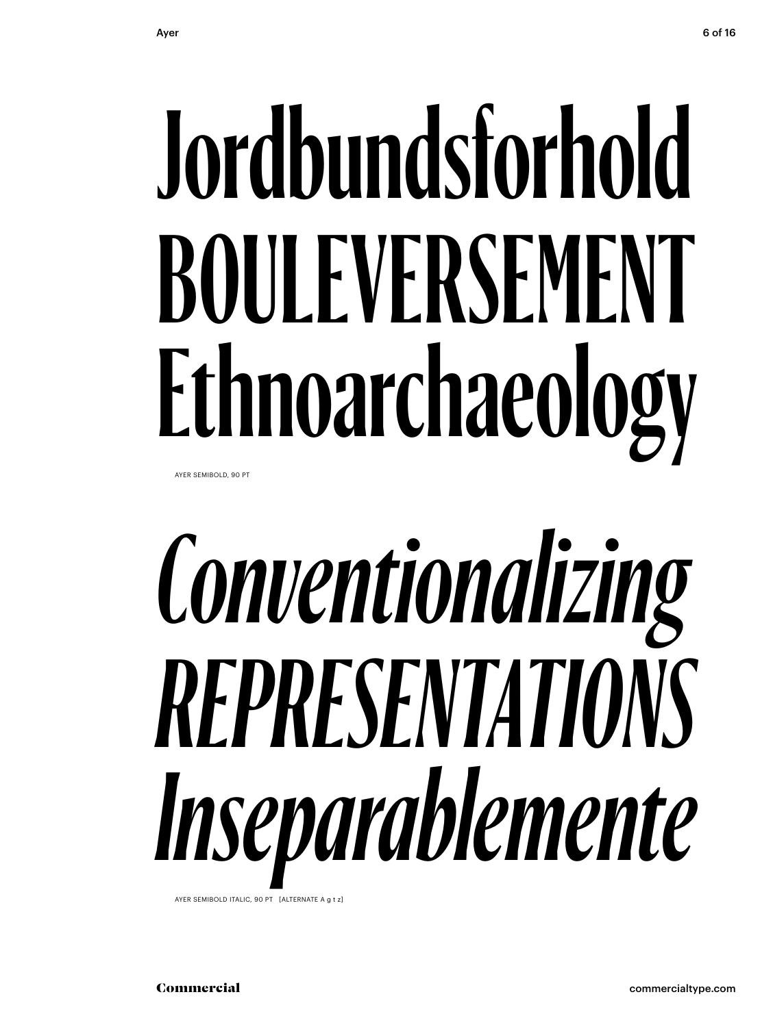# **Jordbundsforhold BOULEVERSEMENT Ethnoarchaeology**

AYER SEMIBOLD, 90 PT

# *Conventionalizing REPRESENTATIONS Inseparablemente*

AYER SEMIBOLD ITALIC, 90 PT [ALTERNATE A g t z]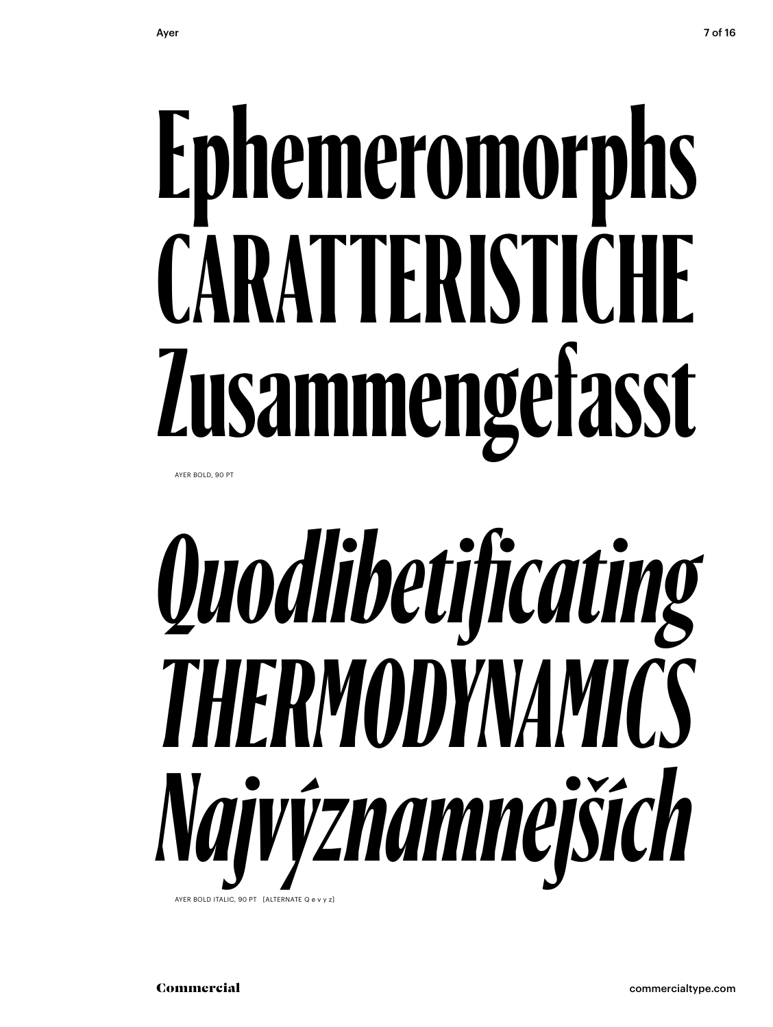AYER BOLD, 90 PT

## Quodlibetificating THERMODYNAMICS Najvýznamnejších AYER BOLD ITALIC, 90 PT [ALTERNATE Q e v v z]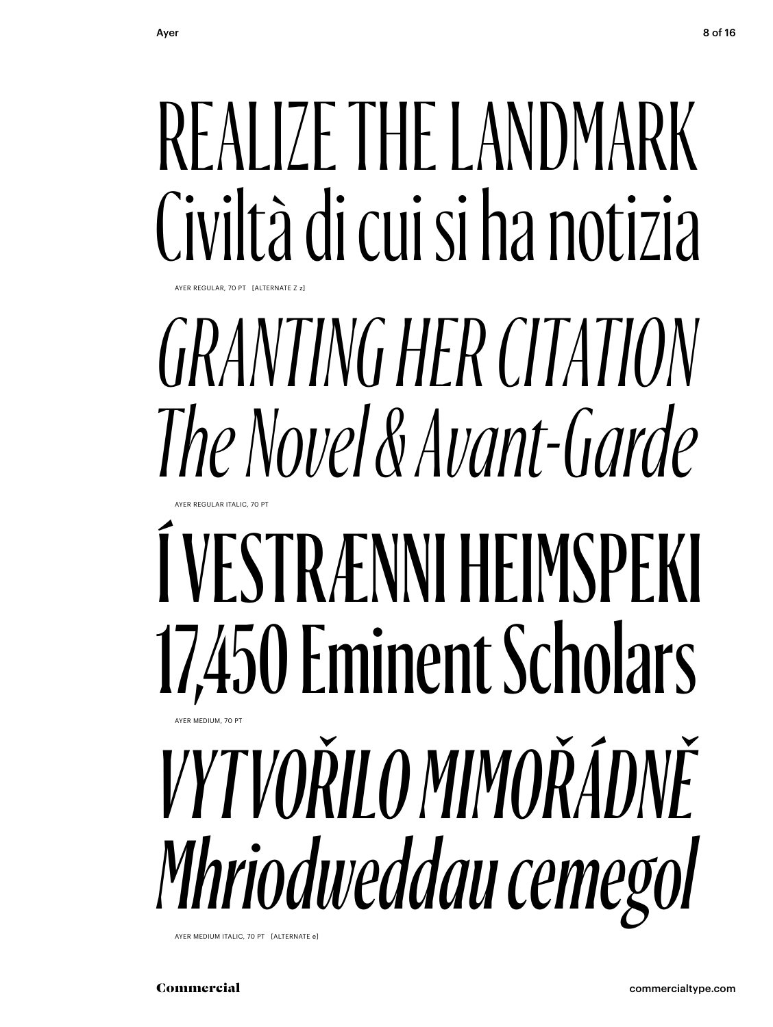## REALIZE THE LANDMARK Civiltà di cui si ha notizia

## **GRANTING HER CITATION** The Novel & Avant-Garde

## Í VESTRÆNNI HEIMSPEKI 17.450 Eminent Scholars **THE MEDIUM 70** *VYTVOŘILO MIMOŘÁDNĚ*

Mhriodweddau cemegol

AYER MEDIUM ITALIC, 70 PT [ALTERNATE e]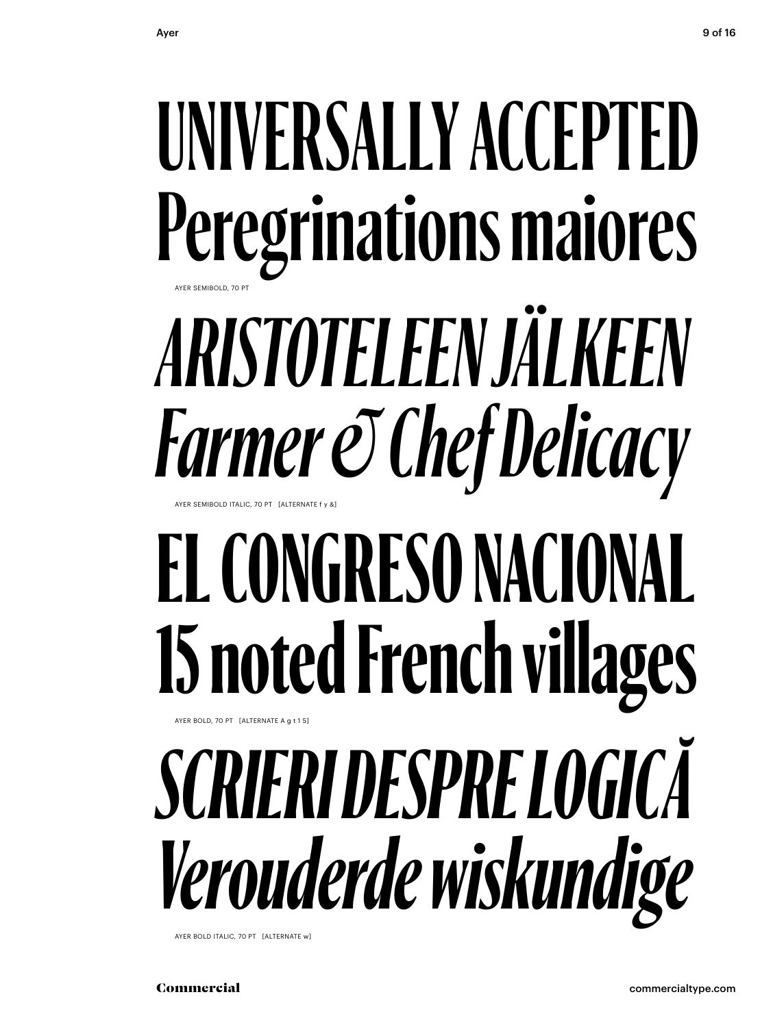## UNIVERSALLY ACCEPTED Peregrinations maiores ARISTOTELEEN JÄLKEEN **Farmer & Chef Delicacy** EL CONGRESO NACIONAL 15 noted French villages

## AYER BOLD, 70 PT [ALTERNATE A a t 1.5]

## SCRIERI DESPRE LOGICĂ Verouderde wiskundige

AYER BOLD ITALIC, 70 PT [ALTERNATE w]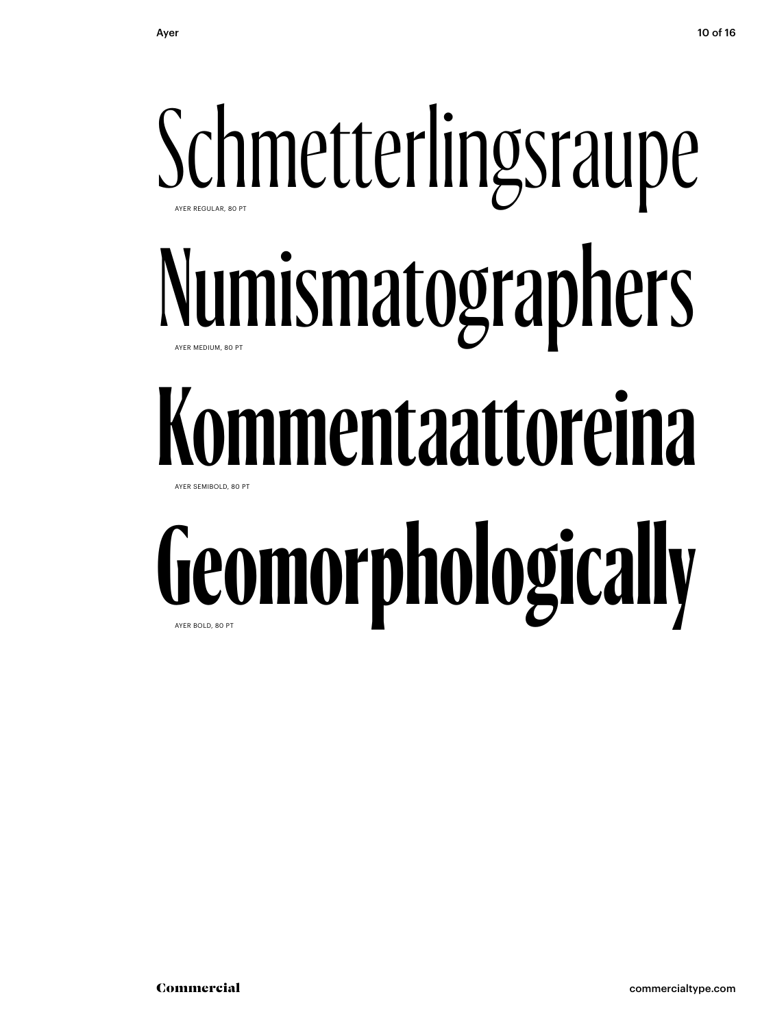## Schmetterlingsraupe Numismatographers **Kommentaattoreina Geomorphologically** AYER REGULAR, 80 PT AYER MEDIUM, 80 PT AYER SEMIBOLD, 80 PT AYER BOLD, 80 PT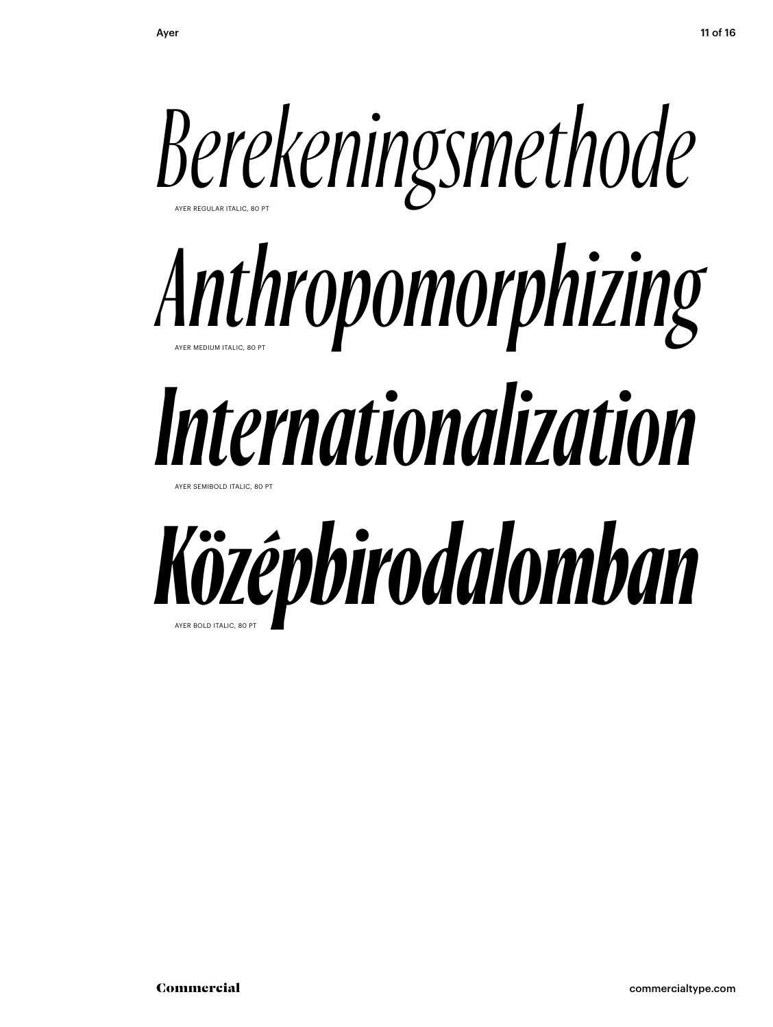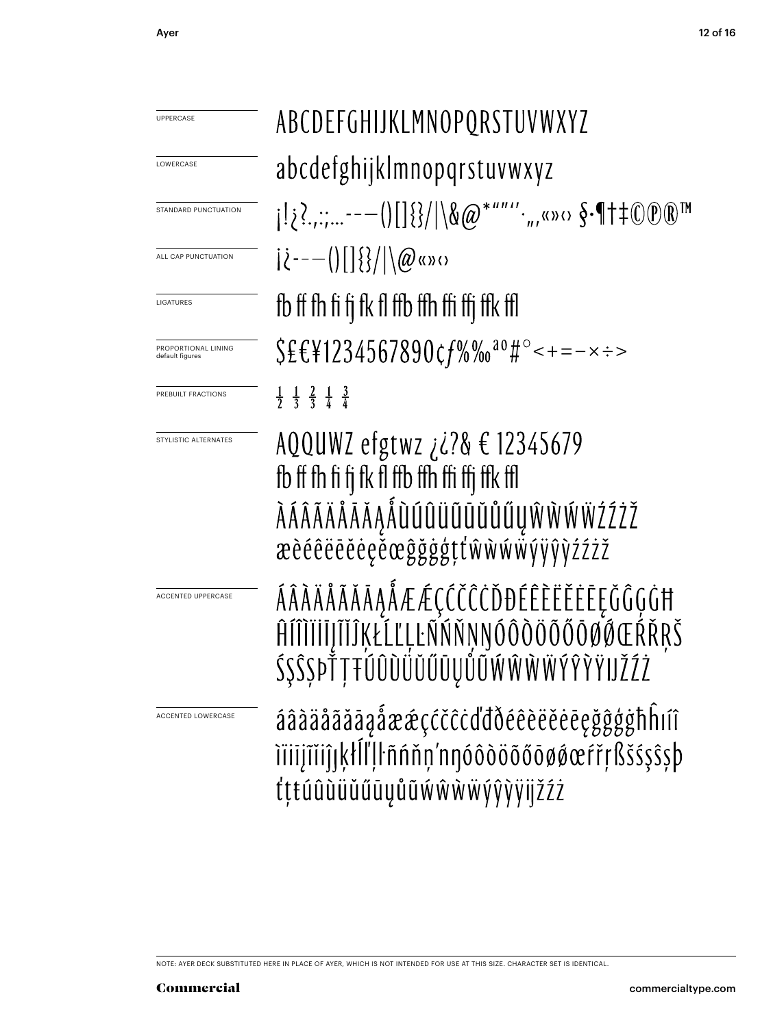| UPPERCASE                              | ABCDEFGHIJKLMNOPQRSTUVWXYZ                                                                                                                                                          |  |  |  |
|----------------------------------------|-------------------------------------------------------------------------------------------------------------------------------------------------------------------------------------|--|--|--|
| LOWERCASE                              | abcdefghijklmnopqrstuvwxyz                                                                                                                                                          |  |  |  |
| STANDARD PUNCTUATION                   | $i_{1}$ ; ?---()[] {}/ \&@*""''.,,«»<> $S$ -¶+ $*$ OO® <sup>™</sup>                                                                                                                 |  |  |  |
| ALL CAP PUNCTUATION                    | $ \zeta^{---}( []\{\} / \langle \emptyset \rangle )$                                                                                                                                |  |  |  |
| LIGATURES                              | fb ff fh fi fi fk fl ffb ffh ffi ffi ffk ffl                                                                                                                                        |  |  |  |
| PROPORTIONAL LINING<br>default figures | $$EEY1234567890c f\% \%$ <sup>00</sup> #°<+=-x :>                                                                                                                                   |  |  |  |
| PREBUILT FRACTIONS                     | $\frac{1}{2}$ $\frac{1}{3}$ $\frac{2}{3}$ $\frac{1}{4}$ $\frac{3}{4}$                                                                                                               |  |  |  |
| STYLISTIC ALTERNATES                   | AQQUWZ efgtwz <i>i i</i> ?& € 12345679<br>fb ff fh fi fj fk fl ffb ffh ffi ffj ffk ffl<br>À Á Â Ã Ä Å Å Ă A A Å Ù LI Û Ü Ü Ü Ü Ü Ü LI Ŵ Ŵ Ŵ Ž Ź Ž Ž<br>æèéêëēěėęěœĝğġģţťŵŵŵŵýÿŷỳźźż |  |  |  |
| ACCENTED UPPERCASE                     | ÁÂÀÄÅÃĂĀĄÅÆÆÇĆČĈČĎĐÉÊÈËĚĖĘĞĜĢĠĦ<br>ĤĺĨĬĬĬĬĴĬĨĬŔŁĹĽĻĿÑŃŇŅŊÓÔŎŎŐŎØØŒŔŘŖŠ<br>800111100000000                                                                                           |  |  |  |
| <b>ACCENTED LOWERCASE</b>              | áâàäåãăāąåææçćčĉċďďðéêèëěėeęğĝģġħĥiíî<br>iïiijĩiiĵįķłĺľļŀñńňņ'nnóôòöõőōøøœŕřŗßšśşŝşþ<br>tttúûùüŭűūyůũwŵŵŵýŷỳijžźż                                                                   |  |  |  |

NOTE: AYER DECK SUBSTITUTED HERE IN PLACE OF AYER, WHICH IS NOT INTENDED FOR USE AT THIS SIZE. CHARACTER SET IS IDENTICAL.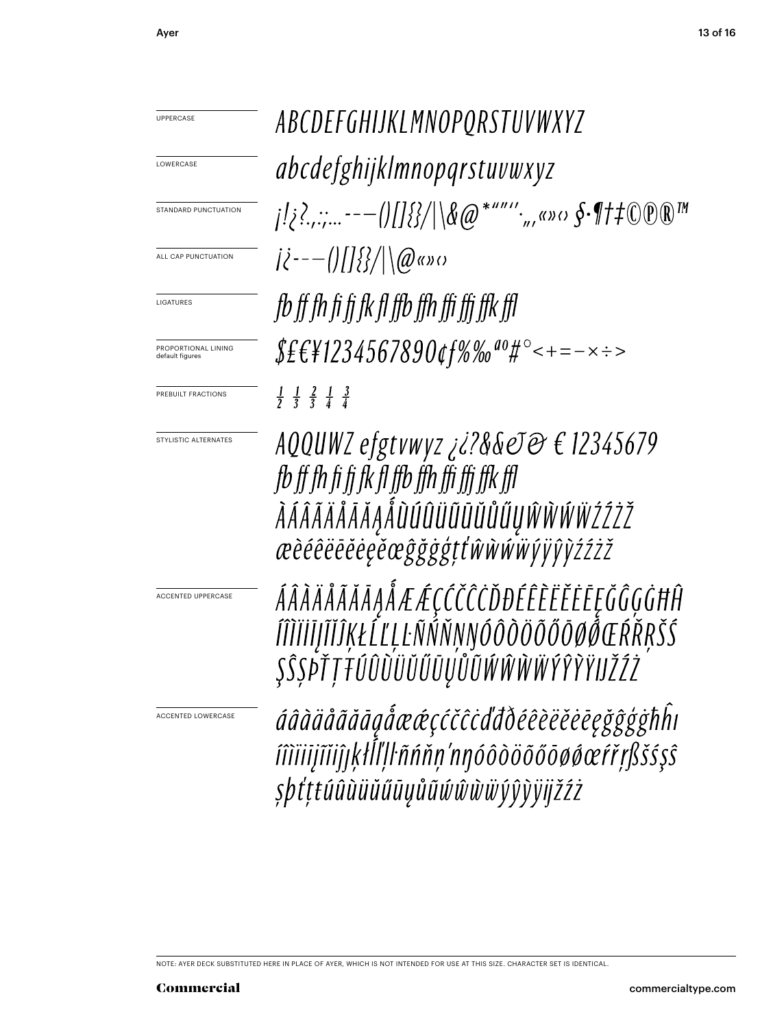ABCDEFGHIJKLMNOPORSTUVWXYZ UPPERCASE abcdefghijklmnopqrstuvwxyz LOWERCASE STANDARD PUNCTUATION  $|\hat{\ell}^{---}(t)| |\hat{\ell} \rangle / |\langle \hat{\varrho} \rangle| \langle \hat{\varrho} \rangle$ ALL CAP PUNCTUATION fb ff fh fi fi fk fl ffb ffh ffi ffi ffk ffl LIGATURES  $$E$ £\{1234567890¢f%‰<sup>ao</sup>#°<+=-×÷> PROPORTIONAL LINING default figures  $\frac{1}{2}$   $\frac{1}{3}$   $\frac{2}{3}$   $\frac{1}{4}$   $\frac{3}{4}$ PREBUILT FRACTIONS AQQUWZ efgtvwyz ¿?&&eJ@ € 12345679 STYLISTIC ALTERNATES fb ff fh fi fi fk fl ffb ffh ffi ffi ffk ffl *ÀÁÂÃÄÅĀĂĄÅÙÚÛÜŨŨŬŮŰŲŴŴŴŸŹŹŽ* æèéêëēĕėę̃ěœĝğġţťŵŵŵwyïŷŷźźżž ÁÂÀÄÅÃĂĂĄÅÆÆÇĆČĈŎĐÉÊÈËĔĔĘĞĜĢĠĦĤ ACCENTED UPPERCASE ÍÎÌÏİĬJĨĬĴĶŁĹĽĻĿÑŃŇŅŊÓÔÒÖÕŐŌØ*ŎŒŔ*ŘŖŠŚ ŞŜŞÞŤŢŦŰÛŨÜŬŰŨŲŮŨŴŴŴŴŶŶŶŸIJŽŹŻ áâàäåãăāąåææçćčĉċďđðéêèëĕėēęğĝģġħĥı ACCENTED LOWERCASEíîìïiijĩiiĵŗķłĺľļŀñńňņ'nŋóôòöõőōøøœŕřŗßšśşŝ şþťṭŧúûùüŭűūyůũŵŵŵŵŷŷỳijžźż

NOTE: AYER DECK SUBSTITUTED HERE IN PLACE OF AYER, WHICH IS NOT INTENDED FOR USE AT THIS SIZE. CHARACTER SET IS IDENTICAL.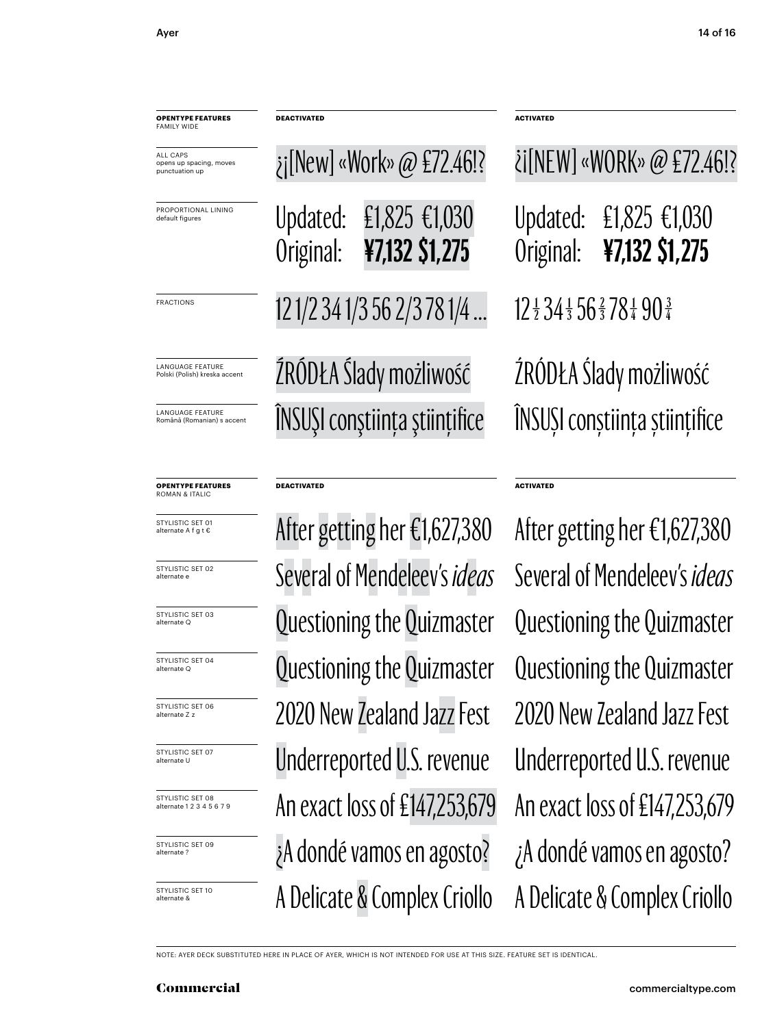| <b>OPENTYPE FEATURES</b><br><b>FAMILY WIDE</b>                                                                    | <b>DEACTIVATED</b>    |                                                         |                       |                                                                     |  |
|-------------------------------------------------------------------------------------------------------------------|-----------------------|---------------------------------------------------------|-----------------------|---------------------------------------------------------------------|--|
| <b>ALL CAPS</b><br>opens up spacing, moves<br>punctuation up                                                      |                       | $\chi$ [New] «Work» @ £72.46!?                          |                       | <i>i</i> [NEW] «WORK» @                                             |  |
| PROPORTIONAL LINING<br>default figures                                                                            | Updated:<br>Original: | £1,825 €1,030<br>¥7,132 \$1,275                         | Updated:<br>Original: | $£1,825 \in$ ¥7,132 \$1                                             |  |
| <b>FRACTIONS</b>                                                                                                  |                       | 121/2341/3562/3781/4                                    |                       | $12\frac{1}{2}34\frac{1}{3}56\frac{2}{3}78\frac{1}{4}90\frac{3}{4}$ |  |
| <b>LANGUAGE FEATURE</b><br>Polski (Polish) kreska accent<br><b>LANGUAGE FEATURE</b><br>Română (Romanian) s accent |                       | ŹRÓDŁA Ślady możliwość<br>ÎNSUȘI conștiința științifice |                       | ŹRÓDŁA Ślady możli<br>ÎNSUȘI conștiința ști                         |  |
|                                                                                                                   |                       |                                                         |                       |                                                                     |  |

## **OPENTYPE FEATURES** ROMAN & ITALIC

STYLISTIC SET 01 alternate A f g t €

STYLISTIC SET 02 alternate e

STYLISTIC SET 03 alternate Q

STYLISTIC SET 04 alternate Q

STYLISTIC SET 06 alternate Z z

STYLISTIC SET 07 alternate U

STYLISTIC SET 08 alternate 1 2 3 4 5 6 7 9

STYLISTIC SET 09 alternate ?

STYLISTIC SET 10

## **DEACTIVATED ACTIVATED**

A Delicate & Complex Criollo A Delicate & Complex Criollo ¿A dondé vamos en agosto? ¿A dondé vamos en agosto? An exact loss of £147,253,679 An exact loss of £147,253,679 Underreported U.S. revenue Underreported U.S. revenue 2020 New Zealand Jazz Fest 2020 New Zealand Jazz Fest Questioning the Quizmaster Questioning the Quizmaster Questioning the Quizmaster Several of Mendeleev's *ideas* Several of Mendeleev's *ideas* After getting her €1,627,380 After getting her €1,627,380

| ¿j[New] «Work» @ £72.46!?     | ¿i[NEW] «WORK» @ £72.46!?                                           |                                                           |  |
|-------------------------------|---------------------------------------------------------------------|-----------------------------------------------------------|--|
|                               |                                                                     | Updated: €1,825 €1,030<br>Original: <b>¥7,132 \$1,275</b> |  |
| 121/2341/3562/3781/4          | $12\frac{1}{2}34\frac{1}{3}56\frac{2}{3}78\frac{1}{4}90\frac{3}{4}$ |                                                           |  |
| ŹRÓDŁA Ślady możliwość        | ŹRÓDŁA Ślady możliwość                                              |                                                           |  |
| ÎNSUȘI conștiința științifice | ÎNSUȘI conștiința științifice                                       |                                                           |  |

Questioning the Quizmaster

NOTE: AYER DECK SUBSTITUTED HERE IN PLACE OF AYER, WHICH IS NOT INTENDED FOR USE AT THIS SIZE. FEATURE SET IS IDENTICAL.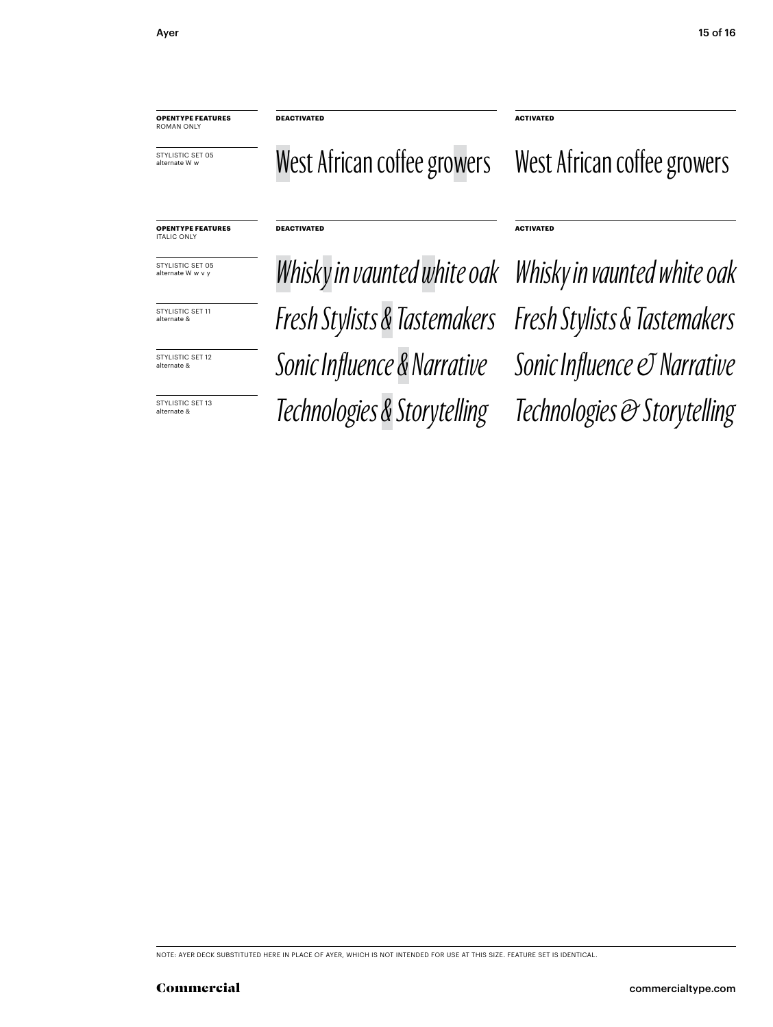**OPENTYPE FEATURES** ROMAN ONLY

STYLISTIC SET 05 alternate W w

**DEACTIVATED ACTIVATED**

**DEACTIVATED ACTIVATED**

West African coffee growers West African coffee growers

## **OPENTYPE FEATURES** ITALIC ONLY

STYLISTIC SET 05<br>alternate W w v y

STYLISTIC SET 11 alternate &

alternate &

STYLISTIC SET 13<br>alternate &

*Fresh Stylists & Tastemakers Fresh Stylists & Tastemakers* **SEYVLISTIC SET 12** Sonic Influence & Narrative Sonic Influence © Narrative alternate & *Technologies & Storytelling Technologies & Storytelling* Whisky in vaunted white oak Whisky in vaunted white oak

NOTE: AYER DECK SUBSTITUTED HERE IN PLACE OF AYER, WHICH IS NOT INTENDED FOR USE AT THIS SIZE. FEATURE SET IS IDENTICAL.